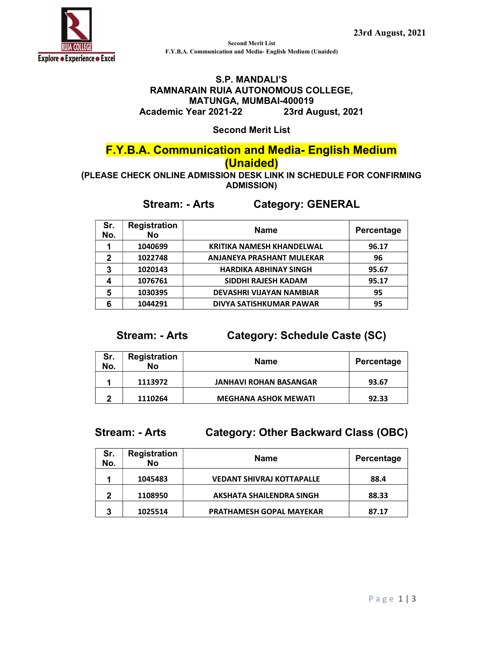

Second Merit List F.Y.B.A. Communication and Media- English Medium (Unaided)

#### S.P. MANDALI'S RAMNARAIN RUIA AUTONOMOUS COLLEGE, MATUNGA, MUMBAI-400019 Academic Year 2021-22 23rd August, 2021

Second Merit List

# F.Y.B.A. Communication and Media- English Medium

### (Unaided)

(PLEASE CHECK ONLINE ADMISSION DESK LINK IN SCHEDULE FOR CONFIRMING ADMISSION)

## Stream: - Arts Category: GENERAL

| Sr.<br>No. | <b>Registration</b><br><b>No</b> | <b>Name</b>                      | Percentage |
|------------|----------------------------------|----------------------------------|------------|
|            | 1040699                          | <b>KRITIKA NAMESH KHANDELWAL</b> | 96.17      |
| 2          | 1022748                          | <b>ANJANEYA PRASHANT MULEKAR</b> | 96         |
| 3          | 1020143                          | <b>HARDIKA ABHINAY SINGH</b>     | 95.67      |
|            | 1076761                          | SIDDHI RAJESH KADAM              | 95.17      |
| 5          | 1030395                          | DEVASHRI VIJAYAN NAMBIAR         | 95         |
|            | 1044291                          | DIVYA SATISHKUMAR PAWAR          | 95         |

### Stream: - Arts Category: Schedule Caste (SC)

| Sr.<br>No. | <b>Registration</b><br>No | Name                          | Percentage |
|------------|---------------------------|-------------------------------|------------|
|            | 1113972                   | <b>JANHAVI ROHAN BASANGAR</b> | 93.67      |
| າ          | 1110264                   | <b>MEGHANA ASHOK MEWATI</b>   | 92.33      |

### Stream: - Arts Category: Other Backward Class (OBC)

| Sr.<br>No. | <b>Registration</b><br><b>No</b> | <b>Name</b>                      | Percentage |
|------------|----------------------------------|----------------------------------|------------|
|            | 1045483                          | <b>VEDANT SHIVRAJ KOTTAPALLE</b> | 88.4       |
| 2          | 1108950                          | <b>AKSHATA SHAILENDRA SINGH</b>  | 88.33      |
| 3          | 1025514                          | <b>PRATHAMESH GOPAL MAYEKAR</b>  | 87.17      |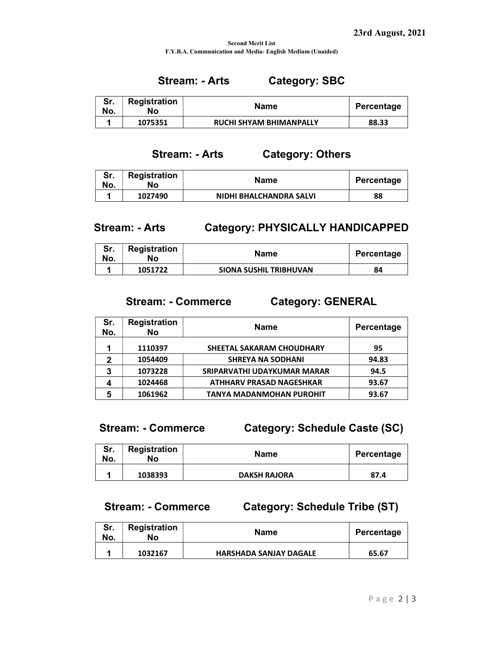#### Second Merit List F.Y.B.A. Communication and Media- English Medium (Unaided)

### Stream: - Arts Category: SBC

| No. | <b>Registration</b><br>No | Name                           | Percentage |
|-----|---------------------------|--------------------------------|------------|
|     | 1075351                   | <b>RUCHI SHYAM BHIMANPALLY</b> | 88.33      |

#### Stream: - Arts Category: Others

| Sr.<br>No. | Registration<br>No | Name                    | Percentage |
|------------|--------------------|-------------------------|------------|
|            | 1027490            | NIDHI BHALCHANDRA SALVI | 88         |

### Stream: - Arts Category: PHYSICALLY HANDICAPPED

| Sr.<br>No. | Registration<br>No | Name                          | Percentage |
|------------|--------------------|-------------------------------|------------|
|            | 1051722            | <b>SIONA SUSHIL TRIBHUVAN</b> | 84         |

### Stream: - Commerce Category: GENERAL

| Sr.<br>No. | <b>Registration</b><br>No | <b>Name</b>                      | Percentage |
|------------|---------------------------|----------------------------------|------------|
|            | 1110397                   | <b>SHEETAL SAKARAM CHOUDHARY</b> | 95         |
| 2          | 1054409                   | <b>SHREYA NA SODHANI</b>         | 94.83      |
| 3          | 1073228                   | SRIPARVATHI UDAYKUMAR MARAR      | 94.5       |
| Δ          | 1024468                   | <b>ATHHARV PRASAD NAGESHKAR</b>  | 93.67      |
| 5          | 1061962                   | <b>TANYA MADANMOHAN PUROHIT</b>  | 93.67      |

Stream: - Commerce Category: Schedule Caste (SC)

| Sr.<br>No. | Registration<br>No | Name                | Percentage |
|------------|--------------------|---------------------|------------|
|            | 1038393            | <b>DAKSH RAJORA</b> | 87.4       |

## Stream: - Commerce Category: Schedule Tribe (ST)

| Sr.<br>No. | Registration<br>No | Name                          | Percentage |
|------------|--------------------|-------------------------------|------------|
|            | 1032167            | <b>HARSHADA SANJAY DAGALE</b> | 65.67      |